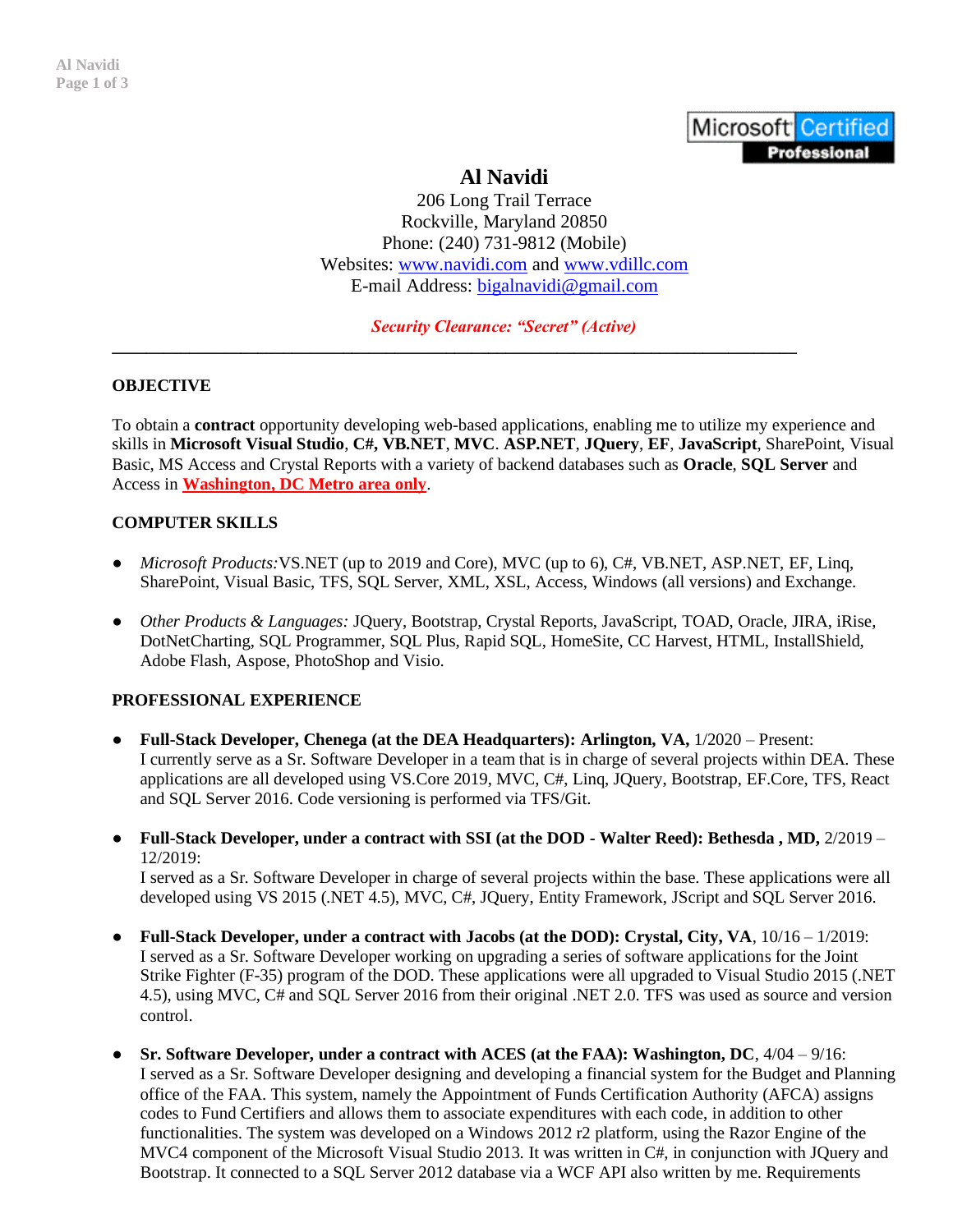

# **Al Navidi**

206 Long Trail Terrace Rockville, Maryland 20850 Phone: (240) 731-9812 (Mobile) Websites: [www.navidi.com](about:blank) and www.vdillc.com E-mail Address: [bigalnavidi@gmail.com](about:blank)

*Security Clearance: "Secret" (Active)*

**\_\_\_\_\_\_\_\_\_\_\_\_\_\_\_\_\_\_\_\_\_\_\_\_\_\_\_\_\_\_\_\_\_\_\_\_\_\_\_\_\_\_\_\_\_\_\_\_\_\_\_\_\_\_\_\_\_\_\_\_\_\_\_\_\_\_\_\_\_\_\_\_\_\_\_\_\_\_\_\_**

## **OBJECTIVE**

To obtain a **contract** opportunity developing web-based applications, enabling me to utilize my experience and skills in **Microsoft Visual Studio**, **C#, VB.NET**, **MVC**. **ASP.NET**, **JQuery**, **EF**, **JavaScript**, SharePoint, Visual Basic, MS Access and Crystal Reports with a variety of backend databases such as **Oracle**, **SQL Server** and Access in **Washington, DC Metro area only**.

### **COMPUTER SKILLS**

- *Microsoft Products:*VS.NET (up to 2019 and Core), MVC (up to 6), C#, VB.NET, ASP.NET, EF, Linq, SharePoint, Visual Basic, TFS, SQL Server, XML, XSL, Access, Windows (all versions) and Exchange.
- *Other Products & Languages:* JQuery, Bootstrap, Crystal Reports, JavaScript, TOAD, Oracle, JIRA, iRise, DotNetCharting, SQL Programmer, SQL Plus, Rapid SQL, HomeSite, CC Harvest, HTML, InstallShield, Adobe Flash, Aspose, PhotoShop and Visio.

### **PROFESSIONAL EXPERIENCE**

- **Full-Stack Developer, Chenega (at the DEA Headquarters): Arlington, VA,** 1/2020 Present: I currently serve as a Sr. Software Developer in a team that is in charge of several projects within DEA. These applications are all developed using VS.Core 2019, MVC, C#, Linq, JQuery, Bootstrap, EF.Core, TFS, React and SQL Server 2016. Code versioning is performed via TFS/Git.
- **Full-Stack Developer, under a contract with SSI (at the DOD - Walter Reed): Bethesda , MD,** 2/2019 12/2019:

I served as a Sr. Software Developer in charge of several projects within the base. These applications were all developed using VS 2015 (.NET 4.5), MVC, C#, JQuery, Entity Framework, JScript and SQL Server 2016.

- **Full-Stack Developer, under a contract with Jacobs (at the DOD): Crystal, City, VA**, 10/16 1/2019: I served as a Sr. Software Developer working on upgrading a series of software applications for the Joint Strike Fighter (F-35) program of the DOD. These applications were all upgraded to Visual Studio 2015 (.NET 4.5), using MVC, C# and SQL Server 2016 from their original .NET 2.0. TFS was used as source and version control.
- **Sr. Software Developer, under a contract with ACES (at the FAA): Washington, DC**, 4/04 9/16: I served as a Sr. Software Developer designing and developing a financial system for the Budget and Planning office of the FAA. This system, namely the Appointment of Funds Certification Authority (AFCA) assigns codes to Fund Certifiers and allows them to associate expenditures with each code, in addition to other functionalities. The system was developed on a Windows 2012 r2 platform, using the Razor Engine of the MVC4 component of the Microsoft Visual Studio 2013. It was written in C#, in conjunction with JQuery and Bootstrap. It connected to a SQL Server 2012 database via a WCF API also written by me. Requirements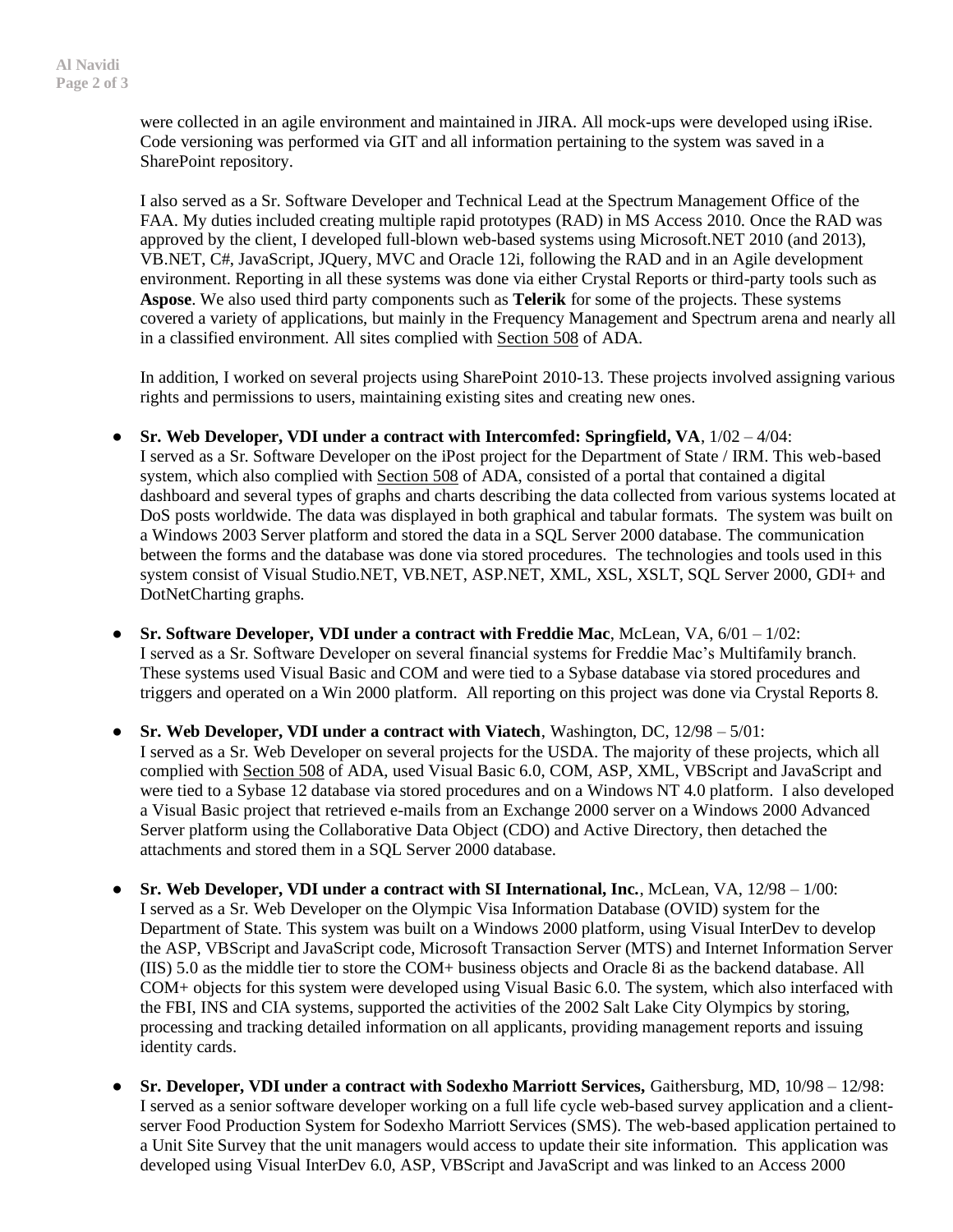were collected in an agile environment and maintained in JIRA. All mock-ups were developed using iRise. Code versioning was performed via GIT and all information pertaining to the system was saved in a SharePoint repository.

I also served as a Sr. Software Developer and Technical Lead at the Spectrum Management Office of the FAA. My duties included creating multiple rapid prototypes (RAD) in MS Access 2010. Once the RAD was approved by the client, I developed full-blown web-based systems using Microsoft.NET 2010 (and 2013), VB.NET, C#, JavaScript, JQuery, MVC and Oracle 12i, following the RAD and in an Agile development environment. Reporting in all these systems was done via either Crystal Reports or third-party tools such as **Aspose**. We also used third party components such as **Telerik** for some of the projects. These systems covered a variety of applications, but mainly in the Frequency Management and Spectrum arena and nearly all in a classified environment. All sites complied with Section 508 of ADA.

In addition, I worked on several projects using SharePoint 2010-13. These projects involved assigning various rights and permissions to users, maintaining existing sites and creating new ones.

- **Sr. Web Developer, VDI under a contract with Intercomfed: Springfield, VA**, 1/02 4/04: I served as a Sr. Software Developer on the iPost project for the Department of State / IRM. This web-based system, which also complied with Section 508 of ADA, consisted of a portal that contained a digital dashboard and several types of graphs and charts describing the data collected from various systems located at DoS posts worldwide. The data was displayed in both graphical and tabular formats. The system was built on a Windows 2003 Server platform and stored the data in a SQL Server 2000 database. The communication between the forms and the database was done via stored procedures. The technologies and tools used in this system consist of Visual Studio.NET, VB.NET, ASP.NET, XML, XSL, XSLT, SQL Server 2000, GDI+ and DotNetCharting graphs.
- **Sr. Software Developer, VDI under a contract with Freddie Mac**, McLean, VA, 6/01 1/02: I served as a Sr. Software Developer on several financial systems for Freddie Mac's Multifamily branch. These systems used Visual Basic and COM and were tied to a Sybase database via stored procedures and triggers and operated on a Win 2000 platform. All reporting on this project was done via Crystal Reports 8.
- **Sr. Web Developer, VDI under a contract with Viatech**, Washington, DC, 12/98 5/01: I served as a Sr. Web Developer on several projects for the USDA. The majority of these projects, which all complied with Section 508 of ADA, used Visual Basic 6.0, COM, ASP, XML, VBScript and JavaScript and were tied to a Sybase 12 database via stored procedures and on a Windows NT 4.0 platform. I also developed a Visual Basic project that retrieved e-mails from an Exchange 2000 server on a Windows 2000 Advanced Server platform using the Collaborative Data Object (CDO) and Active Directory, then detached the attachments and stored them in a SQL Server 2000 database.
- **Sr. Web Developer, VDI under a contract with SI International, Inc.**, McLean, VA, 12/98 1/00: I served as a Sr. Web Developer on the Olympic Visa Information Database (OVID) system for the Department of State. This system was built on a Windows 2000 platform, using Visual InterDev to develop the ASP, VBScript and JavaScript code, Microsoft Transaction Server (MTS) and Internet Information Server (IIS) 5.0 as the middle tier to store the COM+ business objects and Oracle 8i as the backend database. All COM+ objects for this system were developed using Visual Basic 6.0. The system, which also interfaced with the FBI, INS and CIA systems, supported the activities of the 2002 Salt Lake City Olympics by storing, processing and tracking detailed information on all applicants, providing management reports and issuing identity cards.
- **Sr. Developer, VDI under a contract with Sodexho Marriott Services,** Gaithersburg, MD, 10/98 12/98: I served as a senior software developer working on a full life cycle web-based survey application and a clientserver Food Production System for Sodexho Marriott Services (SMS). The web-based application pertained to a Unit Site Survey that the unit managers would access to update their site information. This application was developed using Visual InterDev 6.0, ASP, VBScript and JavaScript and was linked to an Access 2000